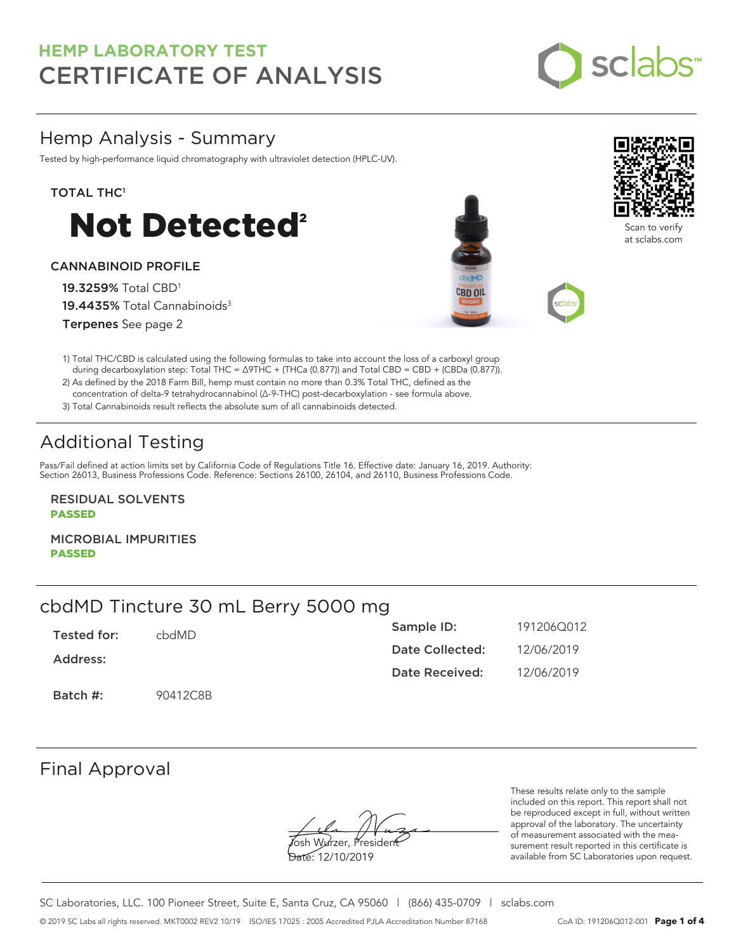

# Hemp Analysis - Summary

Tested by high-performance liquid chromatography with ultraviolet detection (HPLC-UV).

# TOTAL THC<sup>1</sup>



# CANNABINOID PROFILE

19.3259% Total CBD<sup>1</sup> 19.4435% Total Cannabinoids<sup>3</sup> Terpenes See page 2





Scan to verify at sclabs.com

1) Total THC/CBD is calculated using the following formulas to take into account the loss of a carboxyl group during decarboxylation step: Total THC = ∆9THC + (THCa (0.877)) and Total CBD = CBD + (CBDa (0.877)).

2) As defined by the 2018 Farm Bill, hemp must contain no more than 0.3% Total THC, defined as the concentration of delta-9 tetrahydrocannabinol (Δ-9-THC) post-decarboxylation - see formula above.

3) Total Cannabinoids result reflects the absolute sum of all cannabinoids detected.

# Additional Testing

Pass/Fail defined at action limits set by California Code of Regulations Title 16. Effective date: January 16, 2019. Authority: Section 26013, Business Professions Code. Reference: Sections 26100, 26104, and 26110, Business Professions Code.

RESIDUAL SOLVENTS PASSED

MICROBIAL IMPURITIES PASSED

# cbdMD Tincture 30 mL Berry 5000 mg

| Tested for: | chdMD.   | Sample ID:      | 191206Q012 |
|-------------|----------|-----------------|------------|
| Address:    |          | Date Collected: | 12/06/2019 |
|             |          | Date Received:  | 12/06/2019 |
| Batch #:    | 90412C8B |                 |            |

# Final Approval

**J**osh Wurzer, Presiden<del>t</del>

Date: 12/10/2019

These results relate only to the sample included on this report. This report shall not be reproduced except in full, without written approval of the laboratory. The uncertainty of measurement associated with the measurement result reported in this certificate is available from SC Laboratories upon request.

SC Laboratories, LLC. 100 Pioneer Street, Suite E, Santa Cruz, CA 95060 | (866) 435-0709 | sclabs.com © 2019 SC Labs all rights reserved. MKT0002 REV2 10/19 ISO/IES 17025 : 2005 Accredited PJLA Accreditation Number 87168 CoA ID: 191206Q012-001 **Page 1 of 4**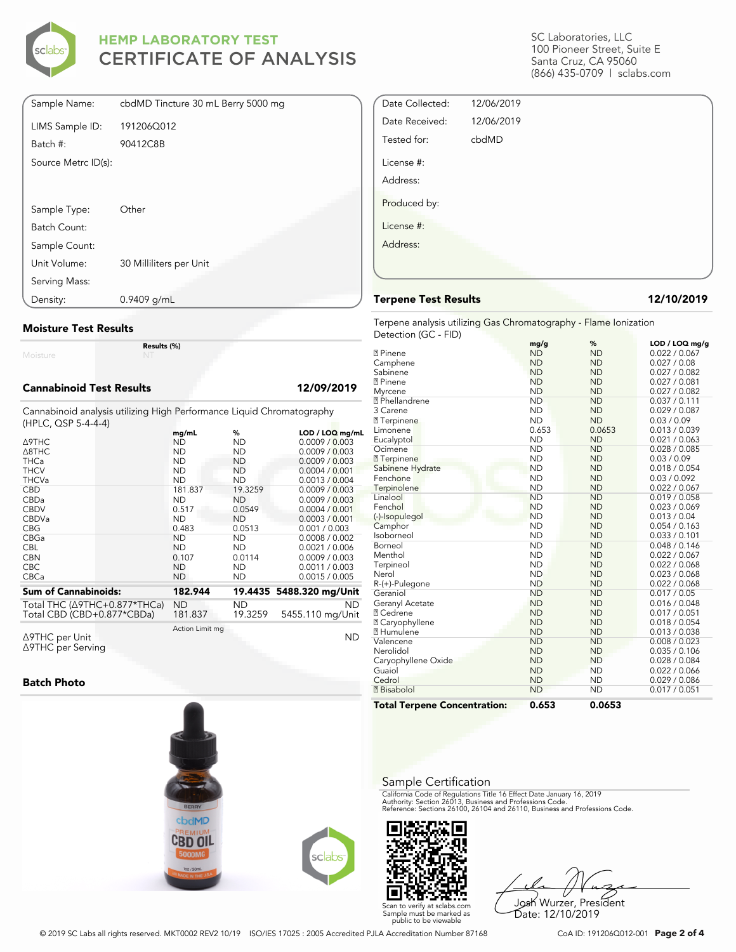

| Sample Name:        | cbdMD Tincture 30 mL Berry 5000 mg |
|---------------------|------------------------------------|
| LIMS Sample ID:     | 191206Q012                         |
| Batch #:            | 90412C8B                           |
| Source Metrc ID(s): |                                    |
|                     |                                    |
|                     |                                    |
| Sample Type:        | Other                              |
| Batch Count:        |                                    |
| Sample Count:       |                                    |
| Unit Volume:        | 30 Milliliters per Unit            |
| Serving Mass:       |                                    |
| Density:            | 0.9409 g/mL                        |

## **Moisture Test Results**

Moisture

**Results (%)**

## **Cannabinoid Test Results 12/09/2019**

Cannabinoid analysis utilizing High Performance Liquid Chromatography (HPLC, QSP 5-4-4-4)

|                                                                        | mg/mL           | %             | LOD / LOQ mg/mL               |
|------------------------------------------------------------------------|-----------------|---------------|-------------------------------|
| ∆9THC                                                                  | ND              | <b>ND</b>     | 0.0009 / 0.003                |
| $\triangle$ 8THC                                                       | <b>ND</b>       | <b>ND</b>     | 0.0009 / 0.003                |
| <b>THCa</b>                                                            | <b>ND</b>       | <b>ND</b>     | 0.0009 / 0.003                |
| <b>THCV</b>                                                            | <b>ND</b>       | <b>ND</b>     | 0.0004 / 0.001                |
| <b>THCVa</b>                                                           | <b>ND</b>       | <b>ND</b>     | 0.0013 / 0.004                |
| <b>CBD</b>                                                             | 181.837         | 19.3259       | 0.0009 / 0.003                |
| <b>CBDa</b>                                                            | <b>ND</b>       | ΝD            | 0.0009 / 0.003                |
| <b>CBDV</b>                                                            | 0.517           | 0.0549        | 0.0004 / 0.001                |
| <b>CBDVa</b>                                                           | <b>ND</b>       | <b>ND</b>     | 0.0003 / 0.001                |
| <b>CBG</b>                                                             | 0.483           | 0.0513        | 0.001 / 0.003                 |
| CBGa                                                                   | <b>ND</b>       | <b>ND</b>     | 0.0008 / 0.002                |
| <b>CBL</b>                                                             | <b>ND</b>       | ND.           | 0.0021 / 0.006                |
| <b>CBN</b>                                                             | 0.107           | 0.0114        | 0.0009 / 0.003                |
| <b>CBC</b>                                                             | <b>ND</b>       | <b>ND</b>     | 0.0011 / 0.003                |
| <b>CBCa</b>                                                            | <b>ND</b>       | <b>ND</b>     | 0.0015 / 0.005                |
| <b>Sum of Cannabinoids:</b>                                            | 182.944         |               | 19.4435 5488.320 mg/Unit      |
|                                                                        |                 |               |                               |
| Total THC ( $\triangle$ 9THC+0.877*THCa)<br>Total CBD (CBD+0.877*CBDa) | ND<br>181.837   | ND<br>19.3259 | <b>ND</b><br>5455.110 mg/Unit |
|                                                                        |                 |               |                               |
| $\triangle$ 9THC per Unit                                              | Action Limit mg |               | <b>ND</b>                     |

Δ9THC per Unit Δ9THC per Serving

## **Batch Photo**



# California Code of Regulations Title 16 Effect Date January 16, 2019<br>Authority: Section 26013, Business and Professions Code.<br>Reference: Sections 26100, 26104 and 26110, Business and Professions Code.

Sample Certification



Josh Wurzer, President Date: 12/10/2019

SC Laboratories, LLC 100 Pioneer Street, Suite E Santa Cruz, CA 95060 (866) 435-0709 | sclabs.com

| Date Collected: | 12/06/2019 |  |
|-----------------|------------|--|
| Date Received:  | 12/06/2019 |  |
| Tested for:     | cbdMD      |  |
| License #:      |            |  |
| Address:        |            |  |
| Produced by:    |            |  |
| License #:      |            |  |
| Address:        |            |  |
|                 |            |  |
|                 |            |  |

## **Terpene Test Results 12/10/2019**

Terpene analysis utilizing Gas Chromatography - Flame Ionization Detection (GC - FID)

| <b>7</b> Pinene                     | mg/g<br><b>ND</b> | %                      | LOD / LOQ mg/g<br>0.022 / 0.067 |
|-------------------------------------|-------------------|------------------------|---------------------------------|
|                                     | <b>ND</b>         | <b>ND</b><br><b>ND</b> | 0.027 / 0.08                    |
| Camphene                            |                   |                        |                                 |
| Sabinene                            | <b>ND</b>         | <b>ND</b>              | 0.027 / 0.082                   |
| <b>7</b> Pinene                     | <b>ND</b>         | <b>ND</b>              | 0.027 / 0.081                   |
| Myrcene                             | <b>ND</b>         | <b>ND</b>              | 0.027 / 0.082                   |
| <b>7</b> Phellandrene               | <b>ND</b>         | <b>ND</b>              | 0.037 / 0.111                   |
| 3 Carene                            | <b>ND</b>         | <b>ND</b>              | 0.029 / 0.087                   |
| <b>2 Terpinene</b>                  | <b>ND</b>         | <b>ND</b>              | 0.03 / 0.09                     |
| Limonene                            | 0.653             | 0.0653                 | 0.013 / 0.039                   |
| Eucalyptol                          | <b>ND</b>         | <b>ND</b>              | 0.021 / 0.063                   |
| Ocimene                             | <b>ND</b>         | <b>ND</b>              | 0.028 / 0.085                   |
| 7 Terpinene                         | <b>ND</b>         | <b>ND</b>              | 0.03 / 0.09                     |
| Sabinene Hydrate                    | <b>ND</b>         | <b>ND</b>              | 0.018 / 0.054                   |
| Fenchone                            | <b>ND</b>         | <b>ND</b>              | 0.03 / 0.092                    |
| Terpinolene                         | <b>ND</b>         | <b>ND</b>              | 0.022 / 0.067                   |
| Linalool                            | <b>ND</b>         | <b>ND</b>              | 0.019 / 0.058                   |
| Fenchol                             | <b>ND</b>         | <b>ND</b>              | 0.023 / 0.069                   |
| (-)-Isopulegol                      | <b>ND</b>         | <b>ND</b>              | 0.013 / 0.04                    |
| Camphor                             | <b>ND</b>         | <b>ND</b>              | 0.054 / 0.163                   |
| Isoborneol                          | <b>ND</b>         | <b>ND</b>              | 0.033 / 0.101                   |
| Borneol                             | <b>ND</b>         | <b>ND</b>              | 0.048 / 0.146                   |
| Menthol                             | <b>ND</b>         | <b>ND</b>              | 0.022 / 0.067                   |
| Terpineol                           | <b>ND</b>         | <b>ND</b>              | 0.022 / 0.068                   |
| Nerol                               | <b>ND</b>         | <b>ND</b>              | 0.023 / 0.068                   |
| R-(+)-Pulegone                      | <b>ND</b>         | <b>ND</b>              | 0.022 / 0.068                   |
| Geraniol                            | <b>ND</b>         | <b>ND</b>              | 0.017 / 0.05                    |
| Geranyl Acetate                     | <b>ND</b>         | <b>ND</b>              | 0.016 / 0.048                   |
| <b>7 Cedrene</b>                    | <b>ND</b>         | <b>ND</b>              | 0.017 / 0.051                   |
| <b>2 Caryophyllene</b>              | <b>ND</b>         | <b>ND</b>              | 0.018 / 0.054                   |
| <b>2 Humulene</b>                   | <b>ND</b>         | <b>ND</b>              | 0.013 / 0.038                   |
| Valencene                           | <b>ND</b>         | <b>ND</b>              | 0.008 / 0.023                   |
| Nerolidol                           | <b>ND</b>         | <b>ND</b>              | 0.035 / 0.106                   |
| Caryophyllene Oxide                 | <b>ND</b>         | <b>ND</b>              | 0.028 / 0.084                   |
| Guaiol                              | <b>ND</b>         | <b>ND</b>              | 0.022 / 0.066                   |
| Cedrol                              | <b>ND</b>         | <b>ND</b>              | 0.029 / 0.086                   |
| 2 Bisabolol                         | <b>ND</b>         | <b>ND</b>              | 0.017 / 0.051                   |
| <b>Total Terpene Concentration:</b> | 0.653             | 0.0653                 |                                 |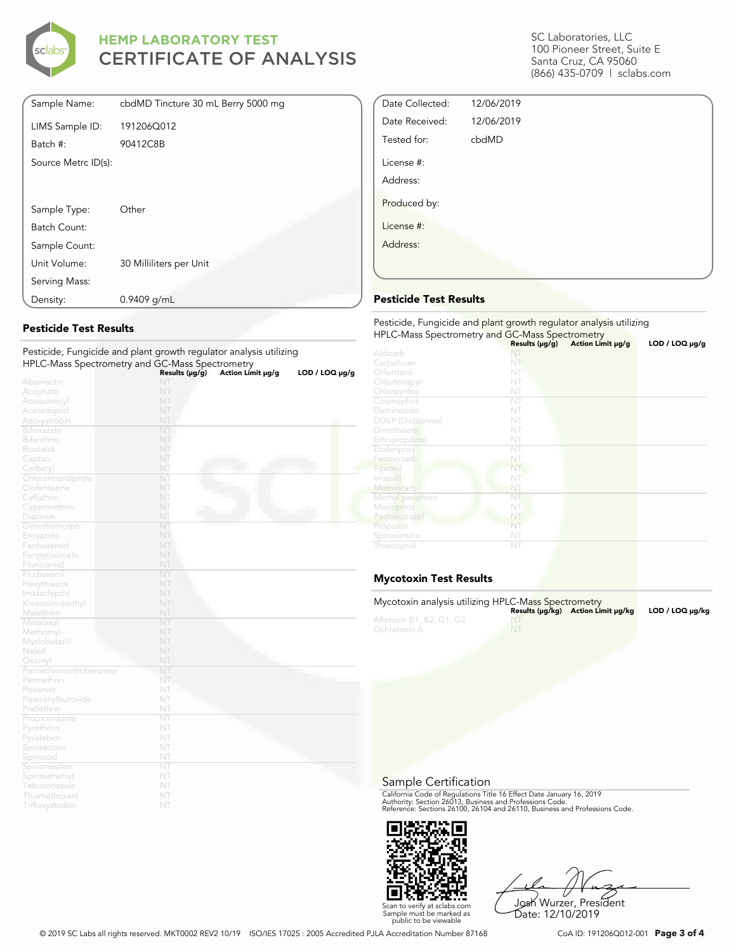

| Sample Name:        | cbdMD Tincture 30 mL Berry 5000 mg |
|---------------------|------------------------------------|
| LIMS Sample ID:     | 191206Q012                         |
| Batch #:            | 90412C8B                           |
| Source Metrc ID(s): |                                    |
|                     |                                    |
|                     |                                    |
| Sample Type:        | Other                              |
| Batch Count:        |                                    |
| Sample Count:       |                                    |
| Unit Volume:        | 30 Milliliters per Unit            |
| Serving Mass:       |                                    |
| Density:            | $0.9409$ g/mL                      |

# **Pesticide Test Results**

|                             | r esticiae, i angleiae and plant growth regulator analysis dtilizing<br>HPLC-Mass Spectrometry and GC-Mass Spectrometry |                   |                |  |  |
|-----------------------------|-------------------------------------------------------------------------------------------------------------------------|-------------------|----------------|--|--|
|                             | Results (µg/g)                                                                                                          | Action Limit µg/g | LOD / LOQ µg/g |  |  |
| Abamectin                   | NT                                                                                                                      |                   |                |  |  |
| Acephate                    | NT                                                                                                                      |                   |                |  |  |
| Acequinocyl                 | NT                                                                                                                      |                   |                |  |  |
| Acetamiprid                 | NT                                                                                                                      |                   |                |  |  |
| Azoxystrobin                | NT                                                                                                                      |                   |                |  |  |
| <b>Bifenazate</b>           | NT                                                                                                                      |                   |                |  |  |
| <b>Bifenthrin</b>           | NT                                                                                                                      |                   |                |  |  |
| <b>Boscalid</b>             | NT                                                                                                                      |                   |                |  |  |
| Captan                      | NT                                                                                                                      |                   |                |  |  |
| Carbaryl                    | NT                                                                                                                      |                   |                |  |  |
| Chlorantraniliprole         | NT                                                                                                                      |                   |                |  |  |
| Clofentezine                | NT                                                                                                                      |                   |                |  |  |
| Cyfluthrin                  | NT                                                                                                                      |                   |                |  |  |
| Cypermethrin                | NT                                                                                                                      |                   |                |  |  |
| Diazinon                    | NT                                                                                                                      |                   |                |  |  |
| Dimethomorph                | NT                                                                                                                      |                   |                |  |  |
| Etoxazole                   | NT                                                                                                                      |                   |                |  |  |
| Fenhexamid                  | NT                                                                                                                      |                   |                |  |  |
| Fenpyroximate               | NT                                                                                                                      |                   |                |  |  |
| Flonicamid                  | NT                                                                                                                      |                   |                |  |  |
| Fludioxonil                 | NT                                                                                                                      |                   |                |  |  |
| Hexythiazox                 | NT                                                                                                                      |                   |                |  |  |
| Imidacloprid                | NT                                                                                                                      |                   |                |  |  |
| Kresoxim-methyl             | NT                                                                                                                      |                   |                |  |  |
| Malathion                   | NT                                                                                                                      |                   |                |  |  |
| Metalaxyl                   | NT                                                                                                                      |                   |                |  |  |
| Methomyl                    | NT                                                                                                                      |                   |                |  |  |
| Myclobutanil                | NT                                                                                                                      |                   |                |  |  |
| Naled                       | NT                                                                                                                      |                   |                |  |  |
| Oxamyl                      | NT                                                                                                                      |                   |                |  |  |
| Pentachloronitrobenzene     | NT                                                                                                                      |                   |                |  |  |
| Permethrin                  | NT                                                                                                                      |                   |                |  |  |
| Phosmet                     | NT                                                                                                                      |                   |                |  |  |
| Piperonylbutoxide           | NT                                                                                                                      |                   |                |  |  |
| Prallethrin                 | NT<br>NT                                                                                                                |                   |                |  |  |
| Propiconazole<br>Pyrethrins | NT                                                                                                                      |                   |                |  |  |
| Pyridaben                   | NT                                                                                                                      |                   |                |  |  |
|                             | NT                                                                                                                      |                   |                |  |  |
| Spinetoram<br>Spinosad      | NT                                                                                                                      |                   |                |  |  |
| Spiromesifen                | NT                                                                                                                      |                   |                |  |  |
| Spirotetramat               | NT                                                                                                                      |                   |                |  |  |
| Tebuconazole                | NT                                                                                                                      |                   |                |  |  |
| Thiamethoxam                | NT                                                                                                                      |                   |                |  |  |
| Trifloxystrobin             | NT                                                                                                                      |                   |                |  |  |
|                             |                                                                                                                         |                   |                |  |  |

Pesticide, Fungicide and plant growth regulator analysis utilizing

### SC Laboratories, LLC 100 Pioneer Street, Suite E Santa Cruz, CA 95060 (866) 435-0709 | sclabs.com

| Date Collected: | 12/06/2019 |  |
|-----------------|------------|--|
| Date Received:  | 12/06/2019 |  |
| Tested for:     | cbdMD      |  |
| License #:      |            |  |
| Address:        |            |  |
| Produced by:    |            |  |
| License #:      |            |  |
| Address:        |            |  |
|                 |            |  |

# **Pesticide Test Results**

| Pesticide, Fungicide and plant growth regulator analysis utilizing<br>HPLC-Mass Spectrometry and GC-Mass Spectrometry |                     |                   |                |  |
|-----------------------------------------------------------------------------------------------------------------------|---------------------|-------------------|----------------|--|
|                                                                                                                       | Results $(\mu g/g)$ | Action Limit µg/g | LOD / LOQ µg/g |  |
| Aldicarb                                                                                                              |                     |                   |                |  |
| Carbofuran                                                                                                            | NT                  |                   |                |  |
| Chlordane                                                                                                             | NT                  |                   |                |  |
| Chlorfenapyr                                                                                                          | NT                  |                   |                |  |
| Chlorpyrifos                                                                                                          | NT                  |                   |                |  |
| Coumaphos                                                                                                             | NT                  |                   |                |  |
| Daminozide                                                                                                            | NT                  |                   |                |  |
| <b>DDVP</b> (Dichlorvos)                                                                                              | NT                  |                   |                |  |
| Dimethoate                                                                                                            | NT                  |                   |                |  |
| Ethoprop(hos)                                                                                                         | NT                  |                   |                |  |
| Etofenprox                                                                                                            | NT                  |                   |                |  |
| Fenoxycarb                                                                                                            | NT                  |                   |                |  |
| Fipronil                                                                                                              | NT                  |                   |                |  |
| Imazalil                                                                                                              | NT                  |                   |                |  |
| Methiocarb                                                                                                            | NT                  |                   |                |  |
| Methyl parathion                                                                                                      | NT                  |                   |                |  |
| Mevinphos                                                                                                             | NT                  |                   |                |  |
| Paclobutrazol                                                                                                         | NT                  |                   |                |  |
| Propoxur                                                                                                              | NT                  |                   |                |  |
| Spiroxamine                                                                                                           | NT                  |                   |                |  |
| Thiacloprid                                                                                                           | NT                  |                   |                |  |

# **Mycotoxin Test Results**

| Mycotoxin analysis utilizing HPLC-Mass Spectrometry |           | Results (µq/kq) Action Limit µq/kq | LOD / LOQ µq/kg |
|-----------------------------------------------------|-----------|------------------------------------|-----------------|
| Aflatoxin B1, B2, G1, G2<br>Ochratoxin A            | <b>NT</b> |                                    |                 |

Sample Certification

California Code of Regulations Title 16 Effect Date January 16, 2019<br>Authority: Section 26013, Business and Professions Code.<br>Reference: Sections 26100, 26104 and 26110, Business and Professions Code.



Josh Wurzer, President Date: 12/10/2019

© 2019 SC Labs all rights reserved. MKT0002 REV2 10/19 ISO/IES 17025 : 2005 Accredited PJLA Accreditation Number 87168 CoA ID: 191206Q012-001 **Page 3 of 4**